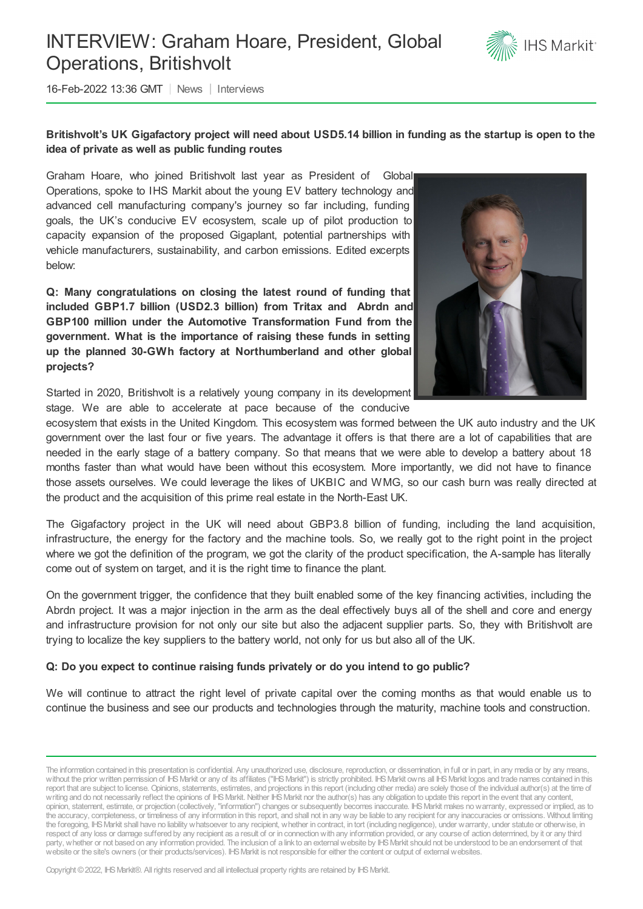# INTERVIEW: Graham Hoare, President, Global Operations, Britishvolt



16-Feb-2022 13:36 GMT | News | Interviews

# Britishvolt's UK Gigafactory project will need about USD5.14 billion in funding as the startup is open to the **idea of private as well as public funding routes**

Graham Hoare, who joined Britishvolt last year as President of Global Operations, spoke to IHS Markit about the young EV battery technology and advanced cell manufacturing company's journey so far including, funding goals, the UK's conducive EV ecosystem, scale up of pilot production to capacity expansion of the proposed Gigaplant, potential partnerships with vehicle manufacturers, sustainability, and carbon emissions. Edited excerpts below:

**Q: Many congratulations on closing the latest round of funding that included GBP1.7 billion (USD2.3 billion) from Tritax and Abrdn and GBP100 million under the Automotive Transformation Fund from the government. What is the importance of raising these funds in setting up the planned 30-GWh factory at Northumberland and other global projects?**



Started in 2020, Britishvolt is a relatively young company in its development stage. We are able to accelerate at pace because of the conducive

ecosystem that exists in the United Kingdom. This ecosystem was formed between the UK auto industry and the UK government over the last four or five years. The advantage it offers is that there are a lot of capabilities that are needed in the early stage of a battery company. So that means that we were able to develop a battery about 18 months faster than what would have been without this ecosystem. More importantly, we did not have to finance those assets ourselves. We could leverage the likes of UKBIC and WMG, so our cash burn was really directed at the product and the acquisition of this prime real estate in the North-East UK.

The Gigafactory project in the UK will need about GBP3.8 billion of funding, including the land acquisition, infrastructure, the energy for the factory and the machine tools. So, we really got to the right point in the project where we got the definition of the program, we got the clarity of the product specification, the A-sample has literally come out of system on target, and it is the right time to finance the plant.

On the government trigger, the confidence that they built enabled some of the key financing activities, including the Abrdn project. It was a major injection in the arm as the deal effectively buys all of the shell and core and energy and infrastructure provision for not only our site but also the adjacent supplier parts. So, they with Britishvolt are trying to localize the key suppliers to the battery world, not only for us but also all of the UK.

#### **Q: Do you expect to continue raising funds privately or do you intend to go public?**

We will continue to attract the right level of private capital over the coming months as that would enable us to continue the business and see our products and technologies through the maturity, machine tools and construction.

The information contained in this presentation is confidential. Any unauthorized use, disclosure, reproduction, or dissemination, in full or in part, in any media or by any means, without the prior written permission of IHS Markit or any of its affiliates ("IHS Markit") is strictly prohibited. IHS Markit owns all IHS Markit logos and trade names contained in this report that are subject to license. Opinions, statements, estimates, and projections in this report (including other media) are solely those of the individual author(s) at the time of writing and do not necessarily reflect the opinions of IHS Markit. Neither IHS Markit nor the author(s) has any obligation to update this report in the event that any content, opinion, statement, estimate, or projection (collectively, "information") changes or subsequently becomes inaccurate. IHSMarkit makes nowarranty, expressed or implied, as to the accuracy, completeness, or timeliness of any information in this report, and shall not in any way be liable to any recipient for any inaccuracies or omissions. Without limiting the foregoing, IHSMarkit shall have no liability whatsoever to any recipient, whether in contract, in tort (including negligence), under warranty, under statute or otherwise, in respect of any loss or damage suffered by any recipient as a result of or in connectionwith any information provided, or any course of action determined, by it or any third party, whether or not based on any information provided. The inclusion of a link to an external website by IHS Markit should not be understood to be an endorsement of that website or the site's owners (or their products/services). IHS Markit is not responsible for either the content or output of external websites.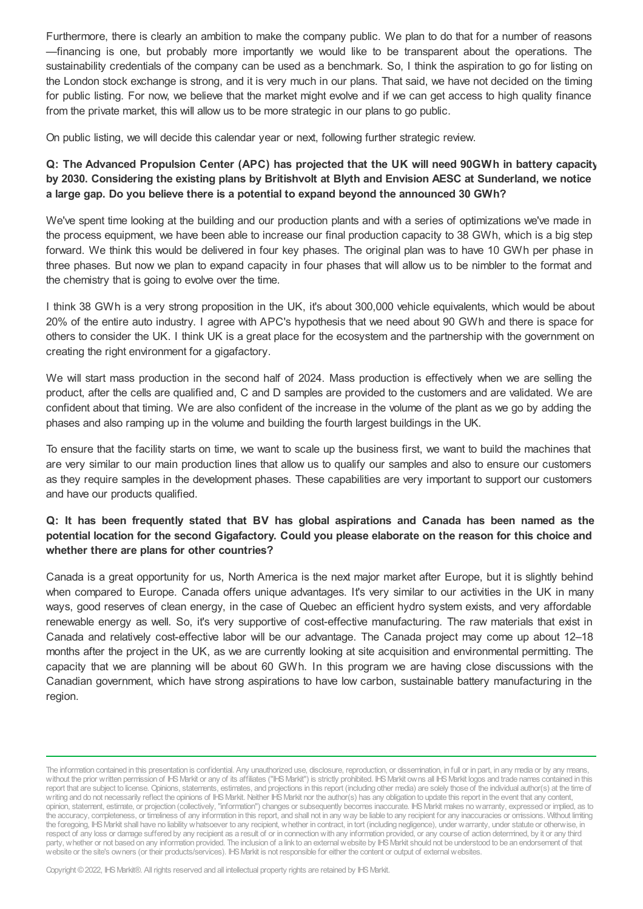Furthermore, there is clearly an ambition to make the company public. We plan to do that for a number of reasons —financing is one, but probably more importantly we would like to be transparent about the operations. The sustainability credentials of the company can be used as a benchmark. So, I think the aspiration to go for listing on the London stock exchange is strong, and it is very much in our plans. That said, we have not decided on the timing for public listing. For now, we believe that the market might evolve and if we can get access to high quality finance from the private market, this will allow us to be more strategic in our plans to go public.

On public listing, we will decide this calendar year or next, following further strategic review.

**Q: The Advanced Propulsion Center (APC) has projected that the UK will need 90GWh in battery capacity** by 2030. Considering the existing plans by Britishvolt at Blyth and Envision AESC at Sunderland, we notice **a large gap. Do you believe there is a potential to expand beyond the announced 30 GWh?**

We've spent time looking at the building and our production plants and with a series of optimizations we've made in the process equipment, we have been able to increase our final production capacity to 38 GWh, which is a big step forward. We think this would be delivered in four key phases. The original plan was to have 10 GWh per phase in three phases. But now we plan to expand capacity in four phases that will allow us to be nimbler to the format and the chemistry that is going to evolve over the time.

I think 38 GWh is a very strong proposition in the UK, it's about 300,000 vehicle equivalents, which would be about 20% of the entire auto industry. I agree with APC's hypothesis that we need about 90 GWh and there is space for others to consider the UK. I think UK is a great place for the ecosystem and the partnership with the government on creating the right environment for a gigafactory.

We will start mass production in the second half of 2024. Mass production is effectively when we are selling the product, after the cells are qualified and, C and D samples are provided to the customers and are validated. We are confident about that timing. We are also confident of the increase in the volume of the plant as we go by adding the phases and also ramping up in the volume and building the fourth largest buildings in the UK.

To ensure that the facility starts on time, we want to scale up the business first, we want to build the machines that are very similar to our main production lines that allow us to qualify our samples and also to ensure our customers as they require samples in the development phases. These capabilities are very important to support our customers and have our products qualified.

# **Q: It has been frequently stated that BV has global aspirations and Canada has been named as the** potential location for the second Gigafactory. Could you please elaborate on the reason for this choice and **whether there are plans for other countries?**

Canada is a great opportunity for us, North America is the next major market after Europe, but it is slightly behind when compared to Europe. Canada offers unique advantages. It's very similar to our activities in the UK in many ways, good reserves of clean energy, in the case of Quebec an efficient hydro system exists, and very affordable renewable energy as well. So, it's very supportive of cost-effective manufacturing. The raw materials that exist in Canada and relatively cost-effective labor will be our advantage. The Canada project may come up about 12–18 months after the project in the UK, as we are currently looking at site acquisition and environmental permitting. The capacity that we are planning will be about 60 GWh. In this program we are having close discussions with the Canadian government, which have strong aspirations to have low carbon, sustainable battery manufacturing in the region.

The information contained in this presentation is confidential. Any unauthorized use, disclosure, reproduction, or dissemination, in full or in part, in any media or by any means, without the prior written permission of IHS Markit or any of its affiliates ("IHS Markit") is strictly prohibited. IHS Markit owns all IHS Markit logos and trade names contained in this report that are subject to license. Opinions, statements, estimates, and projections in this report (including other media) are solely those of the individual author(s) at the time of writing and do not necessarily reflect the opinions of IHS Markit. Neither IHS Markit nor the author(s) has any obligation to update this report in the event that any content, opinion, statement, estimate, or projection (collectively, "information") changes or subsequently becomes inaccurate. IHSMarkit makes nowarranty, expressed or implied, as to the accuracy, completeness, or timeliness of any information in this report, and shall not in any way be liable to any recipient for any inaccuracies or omissions. Without limiting the foregoing, IHSMarkit shall have no liability whatsoever to any recipient, whether in contract, in tort (including negligence), under warranty, under statute or otherwise, in respect of any loss or damage suffered by any recipient as a result of or in connectionwith any information provided, or any course of action determined, by it or any third party, whether or not based on any information provided. The inclusion of a link to an external website by IHS Markit should not be understood to be an endorsement of that website or the site's owners (or their products/services). IHS Markit is not responsible for either the content or output of external websites.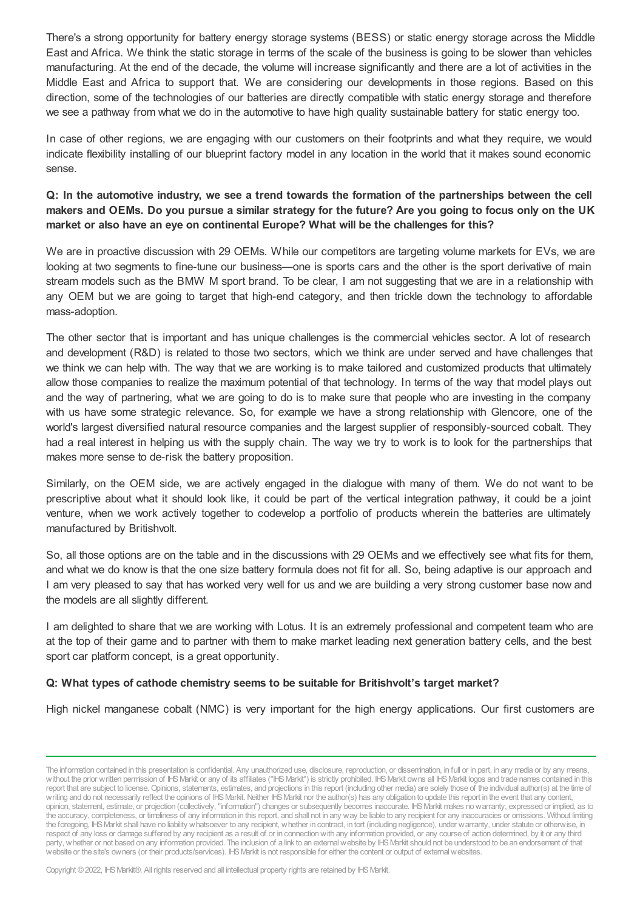There's a strong opportunity for battery energy storage systems (BESS) or static energy storage across the Middle East and Africa. We think the static storage in terms of the scale of the business is going to be slower than vehicles manufacturing. At the end of the decade, the volume will increase significantly and there are a lot of activities in the Middle East and Africa to support that. We are considering our developments in those regions. Based on this direction, some of the technologies of our batteries are directly compatible with static energy storage and therefore we see a pathway from what we do in the automotive to have high quality sustainable battery for static energy too.

In case of other regions, we are engaging with our customers on their footprints and what they require, we would indicate flexibility installing of our blueprint factory model in any location in the world that it makes sound economic sense.

Q: In the automotive industry, we see a trend towards the formation of the partnerships between the cell makers and OEMs. Do you pursue a similar strategy for the future? Are you going to focus only on the UK **market or also have an eye on continental Europe? What will be the challenges for this?**

We are in proactive discussion with 29 OEMs. While our competitors are targeting volume markets for EVs, we are looking at two segments to fine-tune our business—one is sports cars and the other is the sport derivative of main stream models such as the BMW M sport brand. To be clear, I am not suggesting that we are in a relationship with any OEM but we are going to target that high-end category, and then trickle down the technology to affordable mass-adoption.

The other sector that is important and has unique challenges is the commercial vehicles sector. A lot of research and development (R&D) is related to those two sectors, which we think are under served and have challenges that we think we can help with. The way that we are working is to make tailored and customized products that ultimately allow those companies to realize the maximum potential of that technology. In terms of the way that model plays out and the way of partnering, what we are going to do is to make sure that people who are investing in the company with us have some strategic relevance. So, for example we have a strong relationship with Glencore, one of the world's largest diversified natural resource companies and the largest supplier of responsibly-sourced cobalt. They had a real interest in helping us with the supply chain. The way we try to work is to look for the partnerships that makes more sense to de-risk the battery proposition.

Similarly, on the OEM side, we are actively engaged in the dialogue with many of them. We do not want to be prescriptive about what it should look like, it could be part of the vertical integration pathway, it could be a joint venture, when we work actively together to codevelop a portfolio of products wherein the batteries are ultimately manufactured by Britishvolt.

So, all those options are on the table and in the discussions with 29 OEMs and we effectively see what fits for them, and what we do know is that the one size battery formula does not fit for all. So, being adaptive is our approach and I am very pleased to say that has worked very well for us and we are building a very strong customer base now and the models are all slightly different.

I am delighted to share that we are working with Lotus. It is an extremely professional and competent team who are at the top of their game and to partner with them to make market leading next generation battery cells, and the best sport car platform concept, is a great opportunity.

#### **Q: What types of cathode chemistry seems to be suitable for Britishvolt's target market?**

High nickel manganese cobalt (NMC) is very important for the high energy applications. Our first customers are

The information contained in this presentation is confidential. Any unauthorized use, disclosure, reproduction, or dissemination, in full or in part, in any media or by any means, without the prior written permission of IHS Markit or any of its affiliates ("IHS Markit") is strictly prohibited. IHS Markit owns all IHS Markit logos and trade names contained in this report that are subject to license. Opinions, statements, estimates, and projections in this report (including other media) are solely those of the individual author(s) at the time of writing and do not necessarily reflect the opinions of IHS Markit. Neither IHS Markit nor the author(s) has any obligation to update this report in the event that any content, opinion, statement, estimate, or projection (collectively, "information") changes or subsequently becomes inaccurate. IHSMarkit makes nowarranty, expressed or implied, as to the accuracy, completeness, or timeliness of any information in this report, and shall not in any way be liable to any recipient for any inaccuracies or omissions. Without limiting the foregoing, IHSMarkit shall have no liability whatsoever to any recipient, whether in contract, in tort (including negligence), under warranty, under statute or otherwise, in respect of any loss or damage suffered by any recipient as a result of or in connectionwith any information provided, or any course of action determined, by it or any third party, whether or not based on any information provided. The inclusion of a link to an external website by IHS Markit should not be understood to be an endorsement of that website or the site's owners (or their products/services). IHS Markit is not responsible for either the content or output of external websites.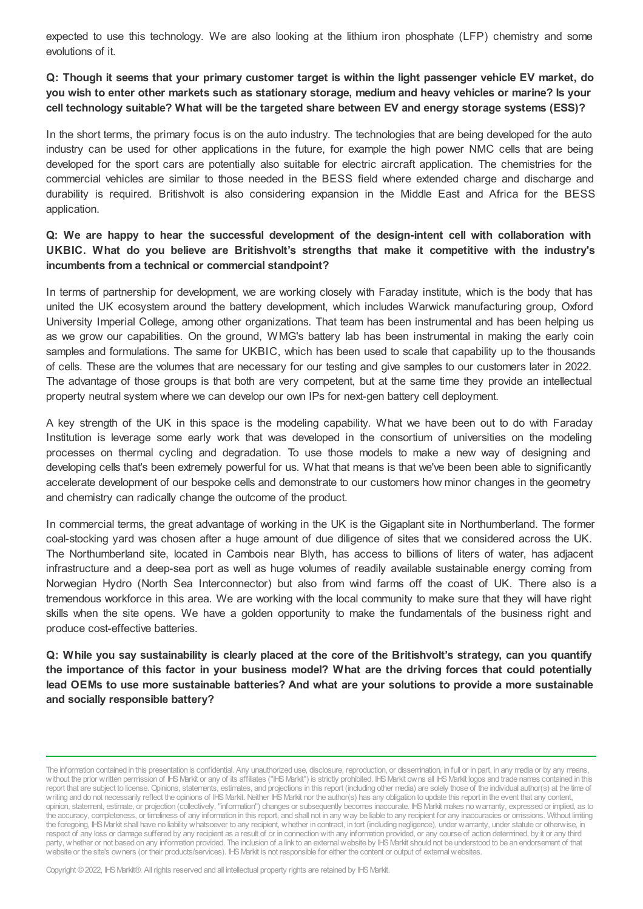expected to use this technology. We are also looking at the lithium iron phosphate (LFP) chemistry and some evolutions of it.

#### Q: Though it seems that your primary customer target is within the light passenger vehicle EV market, do you wish to enter other markets such as stationary storage, medium and heavy vehicles or marine? Is your **cell technology suitable? What will be the targeted share between EV and energy storage systems (ESS)?**

In the short terms, the primary focus is on the auto industry. The technologies that are being developed for the auto industry can be used for other applications in the future, for example the high power NMC cells that are being developed for the sport cars are potentially also suitable for electric aircraft application. The chemistries for the commercial vehicles are similar to those needed in the BESS field where extended charge and discharge and durability is required. Britishvolt is also considering expansion in the Middle East and Africa for the BESS application.

## **Q: We are happy to hear the successful development of the design-intent cell with collaboration with UKBIC. What do you believe are Britishvolt's strengths that make it competitive with the industry's incumbents from a technical or commercial standpoint?**

In terms of partnership for development, we are working closely with Faraday institute, which is the body that has united the UK ecosystem around the battery development, which includes Warwick manufacturing group, Oxford University Imperial College, among other organizations. That team has been instrumental and has been helping us as we grow our capabilities. On the ground, WMG's battery lab has been instrumental in making the early coin samples and formulations. The same for UKBIC, which has been used to scale that capability up to the thousands of cells. These are the volumes that are necessary for our testing and give samples to our customers later in 2022. The advantage of those groups is that both are very competent, but at the same time they provide an intellectual property neutral system where we can develop our own IPs for next-gen battery cell deployment.

A key strength of the UK in this space is the modeling capability. What we have been out to do with Faraday Institution is leverage some early work that was developed in the consortium of universities on the modeling processes on thermal cycling and degradation. To use those models to make a new way of designing and developing cells that's been extremely powerful for us. What that means is that we've been been able to significantly accelerate development of our bespoke cells and demonstrate to our customers how minor changes in the geometry and chemistry can radically change the outcome of the product.

In commercial terms, the great advantage of working in the UK is the Gigaplant site in Northumberland. The former coal-stocking yard was chosen after a huge amount of due diligence of sites that we considered across the UK. The Northumberland site, located in Cambois near Blyth, has access to billions of liters of water, has adjacent infrastructure and a deep-sea port as well as huge volumes of readily available sustainable energy coming from Norwegian Hydro (North Sea Interconnector) but also from wind farms off the coast of UK. There also is a tremendous workforce in this area. We are working with the local community to make sure that they will have right skills when the site opens. We have a golden opportunity to make the fundamentals of the business right and produce cost-effective batteries.

Q: While you say sustainability is clearly placed at the core of the Britishvolt's strategy, can you quantify **the importance of this factor in your business model? What are the driving forces that could potentially lead OEMs to use more sustainable batteries? And what are your solutions to provide a more sustainable and socially responsible battery?**

The information contained in this presentation is confidential. Any unauthorized use, disclosure, reproduction, or dissemination, in full or in part, in any media or by any means, without the prior written permission of IHS Markit or any of its affiliates ("IHS Markit") is strictly prohibited. IHS Markit owns all IHS Markit logos and trade names contained in this report that are subject to license. Opinions, statements, estimates, and projections in this report (including other media) are solely those of the individual author(s) at the time of writing and do not necessarily reflect the opinions of IHS Markit. Neither IHS Markit nor the author(s) has any obligation to update this report in the event that any content, opinion, statement, estimate, or projection (collectively, "information") changes or subsequently becomes inaccurate. IHSMarkit makes nowarranty, expressed or implied, as to the accuracy, completeness, or timeliness of any information in this report, and shall not in any way be liable to any recipient for any inaccuracies or omissions. Without limiting the foregoing, IHSMarkit shall have no liability whatsoever to any recipient, whether in contract, in tort (including negligence), under warranty, under statute or otherwise, in respect of any loss or damage suffered by any recipient as a result of or in connectionwith any information provided, or any course of action determined, by it or any third party, whether or not based on any information provided. The inclusion of a link to an external website by IHS Markit should not be understood to be an endorsement of that website or the site's owners (or their products/services). IHS Markit is not responsible for either the content or output of external websites.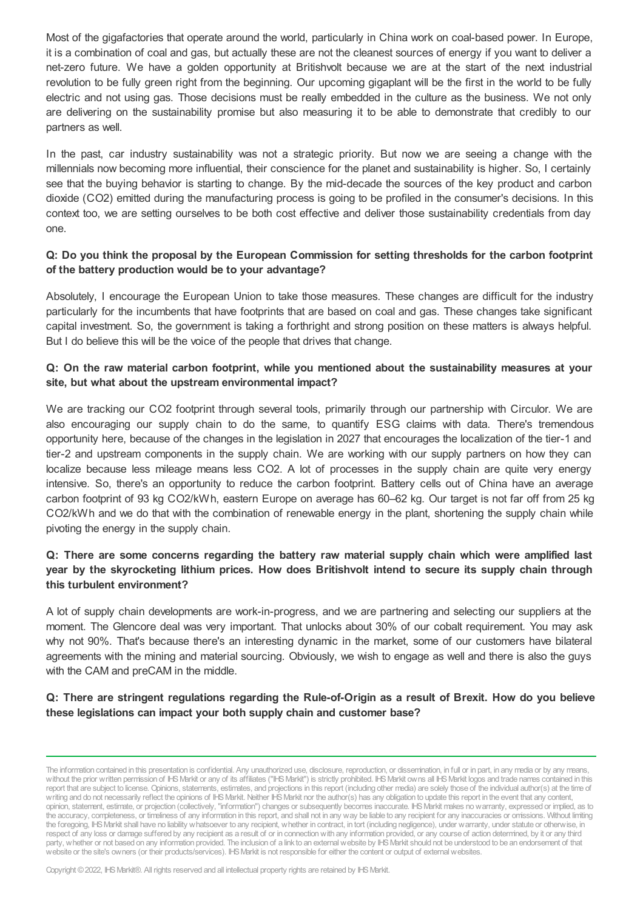Most of the gigafactories that operate around the world, particularly in China work on coal-based power. In Europe, it is a combination of coal and gas, but actually these are not the cleanest sources of energy if you want to deliver a net-zero future. We have a golden opportunity at Britishvolt because we are at the start of the next industrial revolution to be fully green right from the beginning. Our upcoming gigaplant will be the first in the world to be fully electric and not using gas. Those decisions must be really embedded in the culture as the business. We not only are delivering on the sustainability promise but also measuring it to be able to demonstrate that credibly to our partners as well.

In the past, car industry sustainability was not a strategic priority. But now we are seeing a change with the millennials now becoming more influential, their conscience for the planet and sustainability is higher. So, I certainly see that the buying behavior is starting to change. By the mid-decade the sources of the key product and carbon dioxide (CO2) emitted during the manufacturing process is going to be profiled in the consumer's decisions. In this context too, we are setting ourselves to be both cost effective and deliver those sustainability credentials from day one.

#### **Q: Do you think the proposal by the European Commission for setting thresholds for the carbon footprint of the battery production would be to your advantage?**

Absolutely, I encourage the European Union to take those measures. These changes are difficult for the industry particularly for the incumbents that have footprints that are based on coal and gas. These changes take significant capital investment. So, the government is taking a forthright and strong position on these matters is always helpful. But I do believe this will be the voice of the people that drives that change.

### **Q: On the raw material carbon footprint, while you mentioned about the sustainability measures at your site, but what about the upstream environmental impact?**

We are tracking our CO2 footprint through several tools, primarily through our partnership with Circulor. We are also encouraging our supply chain to do the same, to quantify ESG claims with data. There's tremendous opportunity here, because of the changes in the legislation in 2027 that encourages the localization of the tier-1 and tier-2 and upstream components in the supply chain. We are working with our supply partners on how they can localize because less mileage means less CO2. A lot of processes in the supply chain are quite very energy intensive. So, there's an opportunity to reduce the carbon footprint. Battery cells out of China have an average carbon footprint of 93 kg CO2/kWh, eastern Europe on average has 60–62 kg. Our target is not far off from 25 kg CO2/kWh and we do that with the combination of renewable energy in the plant, shortening the supply chain while pivoting the energy in the supply chain.

### **Q: There are some concerns regarding the battery raw material supply chain which were amplified last year by the skyrocketing lithium prices. How does Britishvolt intend to secure its supply chain through this turbulent environment?**

A lot of supply chain developments are work-in-progress, and we are partnering and selecting our suppliers at the moment. The Glencore deal was very important. That unlocks about 30% of our cobalt requirement. You may ask why not 90%. That's because there's an interesting dynamic in the market, some of our customers have bilateral agreements with the mining and material sourcing. Obviously, we wish to engage as well and there is also the guys with the CAM and preCAM in the middle.

#### **Q: There are stringent regulations regarding the Rule-of-Origin as a result of Brexit. How do you believe these legislations can impact your both supply chain and customer base?**

The information contained in this presentation is confidential. Any unauthorized use, disclosure, reproduction, or dissemination, in full or in part, in any media or by any means, without the prior written permission of IHS Markit or any of its affiliates ("IHS Markit") is strictly prohibited. IHS Markit owns all IHS Markit logos and trade names contained in this report that are subject to license. Opinions, statements, estimates, and projections in this report (including other media) are solely those of the individual author(s) at the time of writing and do not necessarily reflect the opinions of IHS Markit. Neither IHS Markit nor the author(s) has any obligation to update this report in the event that any content, opinion, statement, estimate, or projection (collectively, "information") changes or subsequently becomes inaccurate. IHSMarkit makes nowarranty, expressed or implied, as to the accuracy, completeness, or timeliness of any information in this report, and shall not in any way be liable to any recipient for any inaccuracies or omissions. Without limiting the foregoing, IHSMarkit shall have no liability whatsoever to any recipient, whether in contract, in tort (including negligence), under warranty, under statute or otherwise, in respect of any loss or damage suffered by any recipient as a result of or in connectionwith any information provided, or any course of action determined, by it or any third party, whether or not based on any information provided. The inclusion of a link to an external website by IHS Markit should not be understood to be an endorsement of that website or the site's owners (or their products/services). IHS Markit is not responsible for either the content or output of external websites.